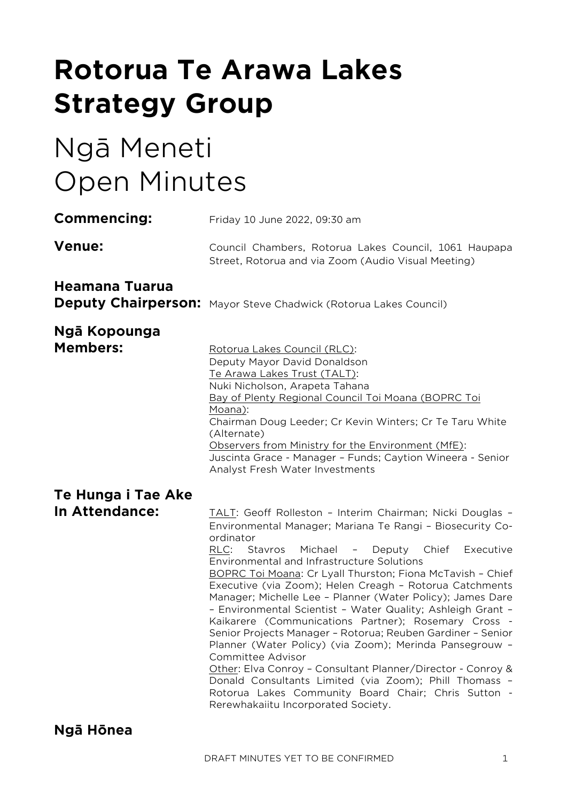# **Rotorua Te Arawa Lakes Strategy Group**

# Ngā Meneti Open Minutes

| Commencing:                     | Friday 10 June 2022, 09:30 am                                                                                                                                                                                                                                                                                                                                                                                                                                                                                                                                                                                                                                                                                                                                                                                                                                                                                                   |  |  |
|---------------------------------|---------------------------------------------------------------------------------------------------------------------------------------------------------------------------------------------------------------------------------------------------------------------------------------------------------------------------------------------------------------------------------------------------------------------------------------------------------------------------------------------------------------------------------------------------------------------------------------------------------------------------------------------------------------------------------------------------------------------------------------------------------------------------------------------------------------------------------------------------------------------------------------------------------------------------------|--|--|
| <b>Venue:</b>                   | Council Chambers, Rotorua Lakes Council, 1061 Haupapa<br>Street, Rotorua and via Zoom (Audio Visual Meeting)                                                                                                                                                                                                                                                                                                                                                                                                                                                                                                                                                                                                                                                                                                                                                                                                                    |  |  |
| Heamana Tuarua                  | <b>Deputy Chairperson:</b> Mayor Steve Chadwick (Rotorua Lakes Council)                                                                                                                                                                                                                                                                                                                                                                                                                                                                                                                                                                                                                                                                                                                                                                                                                                                         |  |  |
| Ngā Kopounga<br><b>Members:</b> | Rotorua Lakes Council (RLC):<br>Deputy Mayor David Donaldson<br>Te Arawa Lakes Trust (TALT):<br>Nuki Nicholson, Arapeta Tahana<br>Bay of Plenty Regional Council Toi Moana (BOPRC Toi<br>Moana):<br>Chairman Doug Leeder; Cr Kevin Winters; Cr Te Taru White<br>(Alternate)<br>Observers from Ministry for the Environment (MfE):<br>Juscinta Grace - Manager - Funds; Caytion Wineera - Senior<br>Analyst Fresh Water Investments                                                                                                                                                                                                                                                                                                                                                                                                                                                                                              |  |  |
| Te Hunga i Tae Ake              |                                                                                                                                                                                                                                                                                                                                                                                                                                                                                                                                                                                                                                                                                                                                                                                                                                                                                                                                 |  |  |
| In Attendance:                  | TALT: Geoff Rolleston - Interim Chairman; Nicki Douglas -<br>Environmental Manager; Mariana Te Rangi - Biosecurity Co-<br>ordinator<br>RLC:<br>Michael - Deputy Chief<br>Stavros<br>Executive<br>Environmental and Infrastructure Solutions<br>BOPRC Toi Moana: Cr Lyall Thurston; Fiona McTavish - Chief<br>Executive (via Zoom); Helen Creagh - Rotorua Catchments<br>Manager; Michelle Lee - Planner (Water Policy); James Dare<br>- Environmental Scientist - Water Quality; Ashleigh Grant -<br>Kaikarere (Communications Partner); Rosemary Cross -<br>Senior Projects Manager - Rotorua; Reuben Gardiner - Senior<br>Planner (Water Policy) (via Zoom); Merinda Pansegrouw -<br>Committee Advisor<br>Other: Elva Conroy - Consultant Planner/Director - Conroy &<br>Donald Consultants Limited (via Zoom); Phill Thomass -<br>Rotorua Lakes Community Board Chair; Chris Sutton -<br>Rerewhakaiitu Incorporated Society. |  |  |
| Ngā Hōnea                       |                                                                                                                                                                                                                                                                                                                                                                                                                                                                                                                                                                                                                                                                                                                                                                                                                                                                                                                                 |  |  |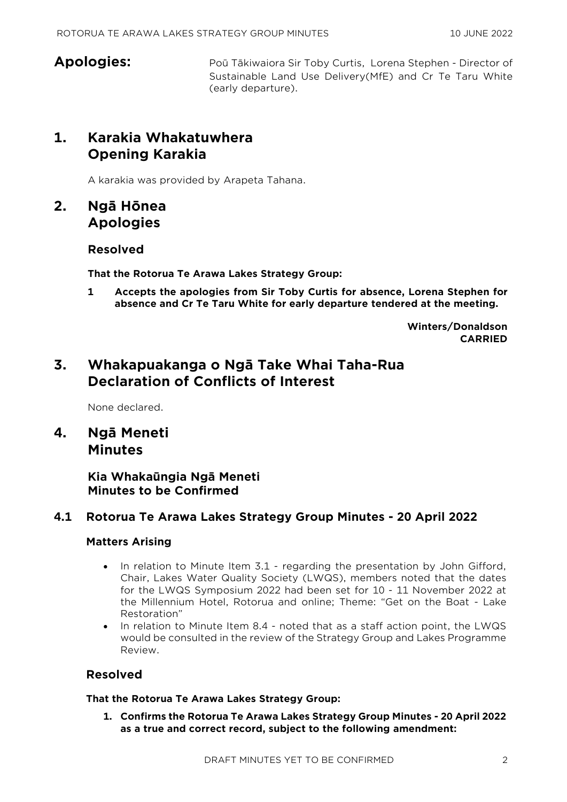**Apologies:** Poū Tākiwaiora Sir Toby Curtis, Lorena Stephen - Director of Sustainable Land Use Delivery(MfE) and Cr Te Taru White (early departure).

# **1. Karakia Whakatuwhera Opening Karakia**

A karakia was provided by Arapeta Tahana.

# **2. Ngā Hōnea Apologies**

#### **Resolved**

**That the Rotorua Te Arawa Lakes Strategy Group:**

**1 Accepts the apologies from Sir Toby Curtis for absence, Lorena Stephen for absence and Cr Te Taru White for early departure tendered at the meeting.**

> **Winters/Donaldson CARRIED**

# **3. Whakapuakanga o Ngā Take Whai Taha-Rua Declaration of Conflicts of Interest**

None declared.

**4. Ngā Meneti Minutes**

## **Kia Whakaūngia Ngā Meneti Minutes to be Confirmed**

#### **4.1 Rotorua Te Arawa Lakes Strategy Group Minutes - 20 April 2022**

#### **Matters Arising**

- In relation to Minute Item 3.1 regarding the presentation by John Gifford, Chair, Lakes Water Quality Society (LWQS), members noted that the dates for the LWQS Symposium 2022 had been set for 10 - 11 November 2022 at the Millennium Hotel, Rotorua and online; Theme: "Get on the Boat - Lake Restoration"
- In relation to Minute Item 8.4 noted that as a staff action point, the LWQS would be consulted in the review of the Strategy Group and Lakes Programme Review.

#### **Resolved**

**That the Rotorua Te Arawa Lakes Strategy Group:**

**1. Confirms the Rotorua Te Arawa Lakes Strategy Group Minutes - 20 April 2022 as a true and correct record, subject to the following amendment:**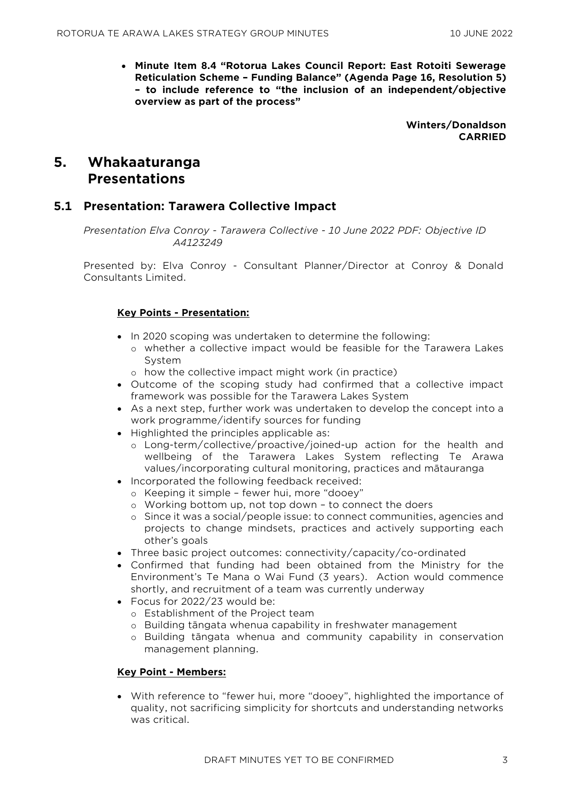• **Minute Item 8.4 "Rotorua Lakes Council Report: East Rotoiti Sewerage Reticulation Scheme – Funding Balance" (Agenda Page 16, Resolution 5) – to include reference to "the inclusion of an independent/objective overview as part of the process"** 

> **Winters/Donaldson CARRIED**

# **5. Whakaaturanga Presentations**

#### **5.1 Presentation: Tarawera Collective Impact**

*Presentation Elva Conroy - Tarawera Collective - 10 June 2022 PDF: Objective ID A4123249* 

Presented by: Elva Conroy - Consultant Planner/Director at Conroy & Donald Consultants Limited.

#### **Key Points - Presentation:**

- In 2020 scoping was undertaken to determine the following:
	- o whether a collective impact would be feasible for the Tarawera Lakes System
	- o how the collective impact might work (in practice)
- Outcome of the scoping study had confirmed that a collective impact framework was possible for the Tarawera Lakes System
- As a next step, further work was undertaken to develop the concept into a work programme/identify sources for funding
- Highlighted the principles applicable as:
	- o Long-term/collective/proactive/joined-up action for the health and wellbeing of the Tarawera Lakes System reflecting Te Arawa values/incorporating cultural monitoring, practices and mātauranga
- Incorporated the following feedback received:
	- o Keeping it simple fewer hui, more "dooey"
	- o Working bottom up, not top down to connect the doers
	- o Since it was a social/people issue: to connect communities, agencies and projects to change mindsets, practices and actively supporting each other's goals
- Three basic project outcomes: connectivity/capacity/co-ordinated
- Confirmed that funding had been obtained from the Ministry for the Environment's Te Mana o Wai Fund (3 years). Action would commence shortly, and recruitment of a team was currently underway
- Focus for 2022/23 would be:
	- o Establishment of the Project team
	- o Building tāngata whenua capability in freshwater management
	- o Building tāngata whenua and community capability in conservation management planning.

#### **Key Point - Members:**

• With reference to "fewer hui, more "dooey", highlighted the importance of quality, not sacrificing simplicity for shortcuts and understanding networks was critical.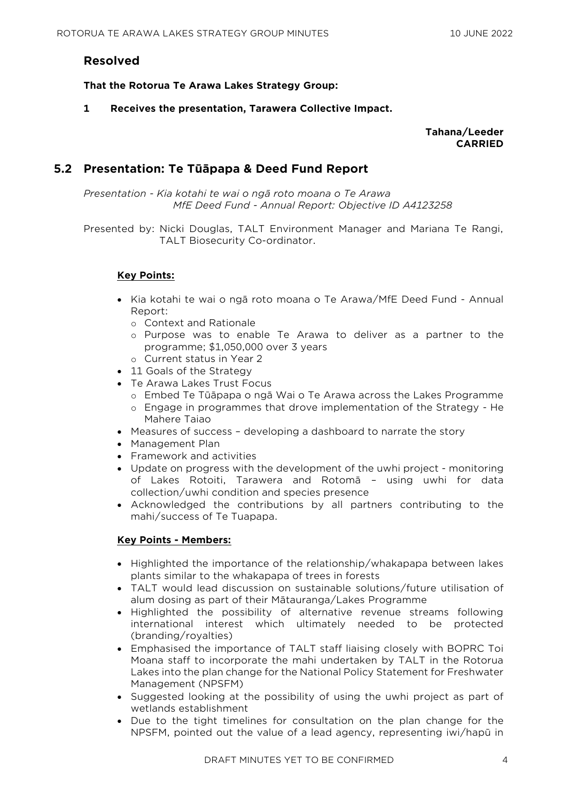#### **Resolved**

**That the Rotorua Te Arawa Lakes Strategy Group:**

**1 Receives the presentation, Tarawera Collective Impact.**

**Tahana/Leeder CARRIED**

#### **5.2 Presentation: Te Tūāpapa & Deed Fund Report**

*Presentation - Kia kotahi te wai o ngā roto moana o Te Arawa MfE Deed Fund - Annual Report: Objective ID A4123258* 

Presented by: Nicki Douglas, TALT Environment Manager and Mariana Te Rangi, TALT Biosecurity Co-ordinator.

#### **Key Points:**

- Kia kotahi te wai o ngā roto moana o Te Arawa/MfE Deed Fund Annual Report:
	- o Context and Rationale
	- o Purpose was to enable Te Arawa to deliver as a partner to the programme; \$1,050,000 over 3 years
	- o Current status in Year 2
- 11 Goals of the Strategy
- Te Arawa Lakes Trust Focus
	- o Embed Te Tūāpapa o ngā Wai o Te Arawa across the Lakes Programme
	- o Engage in programmes that drove implementation of the Strategy He Mahere Taiao
- Measures of success developing a dashboard to narrate the story
- Management Plan
- Framework and activities
- Update on progress with the development of the uwhi project monitoring of Lakes Rotoiti, Tarawera and Rotomā – using uwhi for data collection/uwhi condition and species presence
- Acknowledged the contributions by all partners contributing to the mahi/success of Te Tuapapa.

#### **Key Points - Members:**

- Highlighted the importance of the relationship/whakapapa between lakes plants similar to the whakapapa of trees in forests
- TALT would lead discussion on sustainable solutions/future utilisation of alum dosing as part of their Mātauranga/Lakes Programme
- Highlighted the possibility of alternative revenue streams following international interest which ultimately needed to be protected (branding/royalties)
- Emphasised the importance of TALT staff liaising closely with BOPRC Toi Moana staff to incorporate the mahi undertaken by TALT in the Rotorua Lakes into the plan change for the National Policy Statement for Freshwater Management (NPSFM)
- Suggested looking at the possibility of using the uwhi project as part of wetlands establishment
- Due to the tight timelines for consultation on the plan change for the NPSFM, pointed out the value of a lead agency, representing iwi/hapū in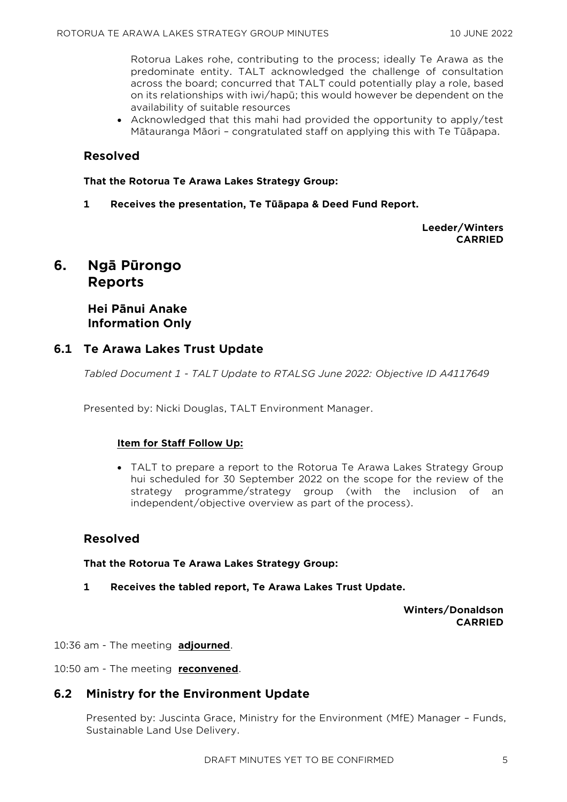Rotorua Lakes rohe, contributing to the process; ideally Te Arawa as the predominate entity. TALT acknowledged the challenge of consultation across the board; concurred that TALT could potentially play a role, based on its relationships with iwi/hapū; this would however be dependent on the availability of suitable resources

• Acknowledged that this mahi had provided the opportunity to apply/test Mātauranga Māori – congratulated staff on applying this with Te Tūāpapa.

#### **Resolved**

**That the Rotorua Te Arawa Lakes Strategy Group:**

**1 Receives the presentation, Te Tūāpapa & Deed Fund Report.**

**Leeder/Winters CARRIED**

# **6. Ngā Pūrongo Reports**

**Hei Pānui Anake Information Only**

#### **6.1 Te Arawa Lakes Trust Update**

*Tabled Document 1 - TALT Update to RTALSG June 2022: Objective ID A4117649* 

Presented by: Nicki Douglas, TALT Environment Manager.

#### **Item for Staff Follow Up:**

• TALT to prepare a report to the Rotorua Te Arawa Lakes Strategy Group hui scheduled for 30 September 2022 on the scope for the review of the strategy programme/strategy group (with the inclusion of an independent/objective overview as part of the process).

#### **Resolved**

**That the Rotorua Te Arawa Lakes Strategy Group:**

**1 Receives the tabled report, Te Arawa Lakes Trust Update.**

**Winters/Donaldson CARRIED**

10:36 am - The meeting **adjourned**.

10:50 am - The meeting **reconvened**.

#### **6.2 Ministry for the Environment Update**

Presented by: Juscinta Grace, Ministry for the Environment (MfE) Manager – Funds, Sustainable Land Use Delivery.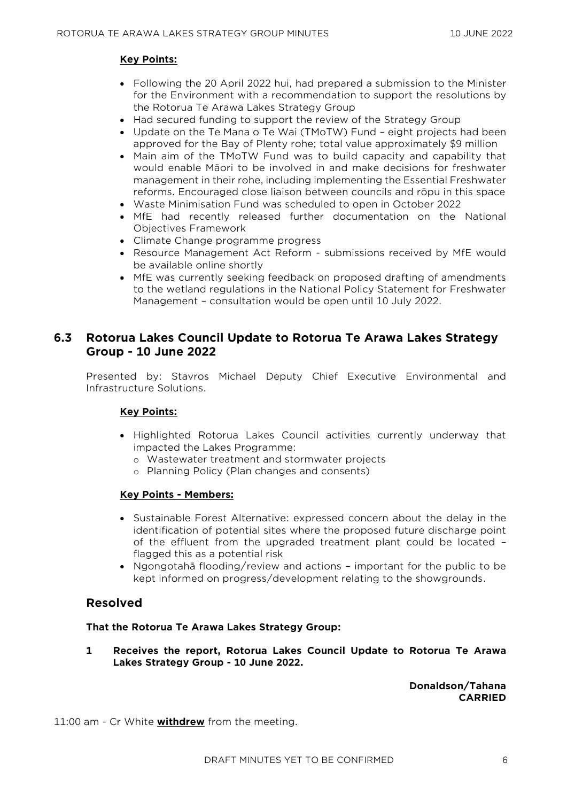#### **Key Points:**

- Following the 20 April 2022 hui, had prepared a submission to the Minister for the Environment with a recommendation to support the resolutions by the Rotorua Te Arawa Lakes Strategy Group
- Had secured funding to support the review of the Strategy Group
- Update on the Te Mana o Te Wai (TMoTW) Fund eight projects had been approved for the Bay of Plenty rohe; total value approximately \$9 million
- Main aim of the TMoTW Fund was to build capacity and capability that would enable Māori to be involved in and make decisions for freshwater management in their rohe, including implementing the Essential Freshwater reforms. Encouraged close liaison between councils and rōpu in this space
- Waste Minimisation Fund was scheduled to open in October 2022
- MfE had recently released further documentation on the National Objectives Framework
- Climate Change programme progress
- Resource Management Act Reform submissions received by MfE would be available online shortly
- MfE was currently seeking feedback on proposed drafting of amendments to the wetland regulations in the National Policy Statement for Freshwater Management – consultation would be open until 10 July 2022.

### **6.3 Rotorua Lakes Council Update to Rotorua Te Arawa Lakes Strategy Group - 10 June 2022**

Presented by: Stavros Michael Deputy Chief Executive Environmental and Infrastructure Solutions.

#### **Key Points:**

- Highlighted Rotorua Lakes Council activities currently underway that impacted the Lakes Programme:
	- o Wastewater treatment and stormwater projects
	- o Planning Policy (Plan changes and consents)

#### **Key Points - Members:**

- Sustainable Forest Alternative: expressed concern about the delay in the identification of potential sites where the proposed future discharge point of the effluent from the upgraded treatment plant could be located – flagged this as a potential risk
- Ngongotahā flooding/review and actions important for the public to be kept informed on progress/development relating to the showgrounds.

#### **Resolved**

#### **That the Rotorua Te Arawa Lakes Strategy Group:**

**1 Receives the report, Rotorua Lakes Council Update to Rotorua Te Arawa Lakes Strategy Group - 10 June 2022.**

> **Donaldson/Tahana CARRIED**

11:00 am - Cr White **withdrew** from the meeting.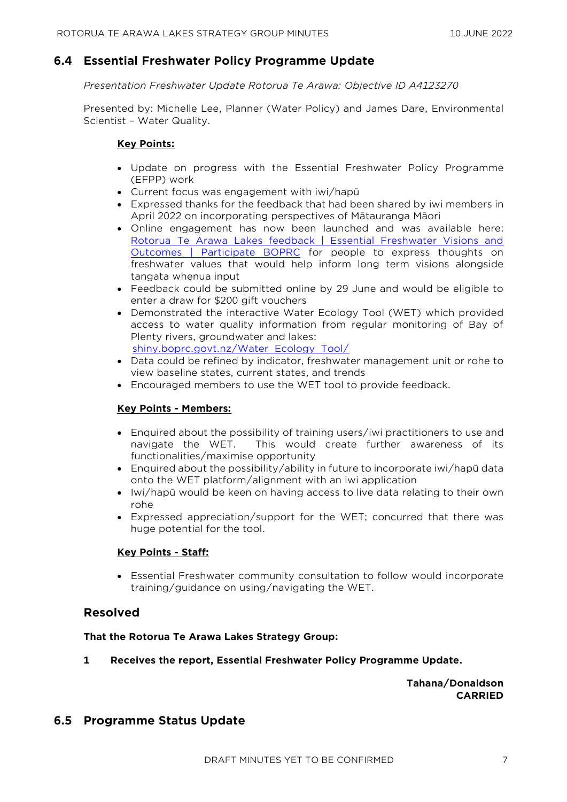#### **6.4 Essential Freshwater Policy Programme Update**

#### *Presentation Freshwater Update Rotorua Te Arawa: Objective ID A4123270*

Presented by: Michelle Lee, Planner (Water Policy) and James Dare, Environmental Scientist – Water Quality.

#### **Key Points:**

- Update on progress with the Essential Freshwater Policy Programme (EFPP) work
- Current focus was engagement with iwi/hapū
- Expressed thanks for the feedback that had been shared by iwi members in April 2022 on incorporating perspectives of Mātauranga Māori
- Online engagement has now been launched and was available here: Rotorua Te Arawa Lakes feedback | Essential Freshwater Visions and [Outcomes | Participate BOPRC](https://www.participate.boprc.govt.nz/vision-and-outcomes/rotorua-te-arawa-lakes-feedback) for people to express thoughts on freshwater values that would help inform long term visions alongside tangata whenua input
- Feedback could be submitted online by 29 June and would be eligible to enter a draw for \$200 gift vouchers
- Demonstrated the interactive Water Ecology Tool (WET) which provided access to water quality information from regular monitoring of Bay of Plenty rivers, groundwater and lakes: [shiny.boprc.govt.nz/Water\\_Ecology\\_Tool/](http://shiny.boprc.govt.nz/Water_Ecology_Tool/)
- Data could be refined by indicator, freshwater management unit or rohe to view baseline states, current states, and trends
- Encouraged members to use the WET tool to provide feedback.

#### **Key Points - Members:**

- Enquired about the possibility of training users/iwi practitioners to use and navigate the WET. This would create further awareness of its functionalities/maximise opportunity
- Enquired about the possibility/ability in future to incorporate iwi/hapū data onto the WET platform/alignment with an iwi application
- Iwi/hapū would be keen on having access to live data relating to their own rohe
- Expressed appreciation/support for the WET; concurred that there was huge potential for the tool.

#### **Key Points - Staff:**

• Essential Freshwater community consultation to follow would incorporate training/guidance on using/navigating the WET.

#### **Resolved**

#### **That the Rotorua Te Arawa Lakes Strategy Group:**

**1 Receives the report, Essential Freshwater Policy Programme Update.**

**Tahana/Donaldson CARRIED**

#### **6.5 Programme Status Update**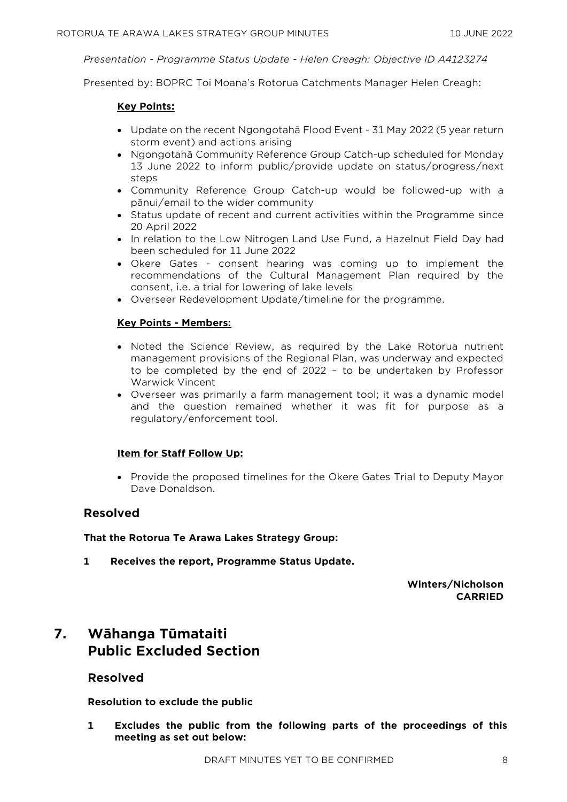*Presentation - Programme Status Update - Helen Creagh: Objective ID A4123274* 

Presented by: BOPRC Toi Moana's Rotorua Catchments Manager Helen Creagh:

#### **Key Points:**

- Update on the recent Ngongotahā Flood Event 31 May 2022 (5 year return storm event) and actions arising
- Ngongotahā Community Reference Group Catch-up scheduled for Monday 13 June 2022 to inform public/provide update on status/progress/next steps
- Community Reference Group Catch-up would be followed-up with a pānui/email to the wider community
- Status update of recent and current activities within the Programme since 20 April 2022
- In relation to the Low Nitrogen Land Use Fund, a Hazelnut Field Day had been scheduled for 11 June 2022
- Okere Gates consent hearing was coming up to implement the recommendations of the Cultural Management Plan required by the consent, i.e. a trial for lowering of lake levels
- Overseer Redevelopment Update/timeline for the programme.

#### **Key Points - Members:**

- Noted the Science Review, as required by the Lake Rotorua nutrient management provisions of the Regional Plan, was underway and expected to be completed by the end of 2022 – to be undertaken by Professor Warwick Vincent
- Overseer was primarily a farm management tool; it was a dynamic model and the question remained whether it was fit for purpose as a regulatory/enforcement tool.

#### **Item for Staff Follow Up:**

• Provide the proposed timelines for the Okere Gates Trial to Deputy Mayor Dave Donaldson.

#### **Resolved**

**That the Rotorua Te Arawa Lakes Strategy Group:**

**1 Receives the report, Programme Status Update.**

**Winters/Nicholson CARRIED**

# **7. Wāhanga Tūmataiti Public Excluded Section**

#### **Resolved**

**Resolution to exclude the public**

**1 Excludes the public from the following parts of the proceedings of this meeting as set out below:**